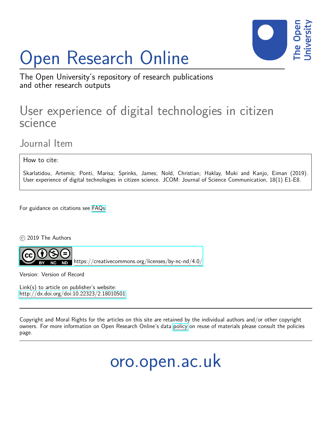# Open Research Online



The Open University's repository of research publications and other research outputs

## User experience of digital technologies in citizen science

Journal Item

How to cite:

Skarlatidou, Artemis; Ponti, Marisa; Sprinks, James; Nold, Christian; Haklay, Muki and Kanjo, Eiman (2019). User experience of digital technologies in citizen science. JCOM: Journal of Science Communication, 18(1) E1-E8.

For guidance on citations see [FAQs.](http://oro.open.ac.uk/help/helpfaq.html)

c 2019 The Authors



<https://creativecommons.org/licenses/by-nc-nd/4.0/>

Version: Version of Record

Link(s) to article on publisher's website: <http://dx.doi.org/doi:10.22323/2.18010501>

Copyright and Moral Rights for the articles on this site are retained by the individual authors and/or other copyright owners. For more information on Open Research Online's data [policy](http://oro.open.ac.uk/policies.html) on reuse of materials please consult the policies page.

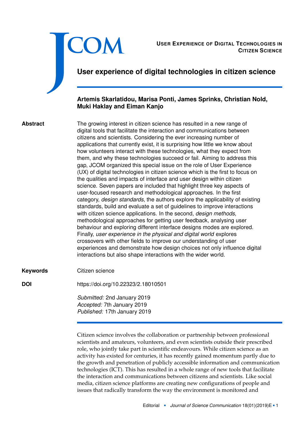|                 | <b>COM</b><br><b>USER EXPERIENCE OF DIGITAL TECHNOLOGIES IN</b><br><b>CITIZEN SCIENCE</b><br>User experience of digital technologies in citizen science                                                                                                                                                                                                                                                                                                                                                                                                                                                                                                                                                                                                                                                                                                                                                                                                                                                                                                                                                                                                                                                                                                                                                                                                                                                                                                                                                                           |
|-----------------|-----------------------------------------------------------------------------------------------------------------------------------------------------------------------------------------------------------------------------------------------------------------------------------------------------------------------------------------------------------------------------------------------------------------------------------------------------------------------------------------------------------------------------------------------------------------------------------------------------------------------------------------------------------------------------------------------------------------------------------------------------------------------------------------------------------------------------------------------------------------------------------------------------------------------------------------------------------------------------------------------------------------------------------------------------------------------------------------------------------------------------------------------------------------------------------------------------------------------------------------------------------------------------------------------------------------------------------------------------------------------------------------------------------------------------------------------------------------------------------------------------------------------------------|
|                 | Artemis Skarlatidou, Marisa Ponti, James Sprinks, Christian Nold,<br><b>Muki Haklay and Eiman Kanjo</b>                                                                                                                                                                                                                                                                                                                                                                                                                                                                                                                                                                                                                                                                                                                                                                                                                                                                                                                                                                                                                                                                                                                                                                                                                                                                                                                                                                                                                           |
| <b>Abstract</b> | The growing interest in citizen science has resulted in a new range of<br>digital tools that facilitate the interaction and communications between<br>citizens and scientists. Considering the ever increasing number of<br>applications that currently exist, it is surprising how little we know about<br>how volunteers interact with these technologies, what they expect from<br>them, and why these technologies succeed or fail. Aiming to address this<br>gap, JCOM organized this special issue on the role of User Experience<br>(UX) of digital technologies in citizen science which is the first to focus on<br>the qualities and impacts of interface and user design within citizen<br>science. Seven papers are included that highlight three key aspects of<br>user-focused research and methodological approaches. In the first<br>category, design standards, the authors explore the applicability of existing<br>standards, build and evaluate a set of guidelines to improve interactions<br>with citizen science applications. In the second, design methods,<br>methodological approaches for getting user feedback, analysing user<br>behaviour and exploring different interface designs modes are explored.<br>Finally, user experience in the physical and digital world explores<br>crossovers with other fields to improve our understanding of user<br>experiences and demonstrate how design choices not only influence digital<br>interactions but also shape interactions with the wider world. |
| <b>Keywords</b> | Citizen science                                                                                                                                                                                                                                                                                                                                                                                                                                                                                                                                                                                                                                                                                                                                                                                                                                                                                                                                                                                                                                                                                                                                                                                                                                                                                                                                                                                                                                                                                                                   |
| <b>DOI</b>      | https://doi.org/10.22323/2.18010501                                                                                                                                                                                                                                                                                                                                                                                                                                                                                                                                                                                                                                                                                                                                                                                                                                                                                                                                                                                                                                                                                                                                                                                                                                                                                                                                                                                                                                                                                               |
|                 | Submitted: 2nd January 2019<br>Accepted: 7th January 2019<br>Published: 17th January 2019                                                                                                                                                                                                                                                                                                                                                                                                                                                                                                                                                                                                                                                                                                                                                                                                                                                                                                                                                                                                                                                                                                                                                                                                                                                                                                                                                                                                                                         |

Citizen science involves the collaboration or partnership between professional scientists and amateurs, volunteers, and even scientists outside their prescribed role, who jointly take part in scientific endeavours. While citizen science as an activity has existed for centuries, it has recently gained momentum partly due to the growth and penetration of publicly accessible information and communication technologies (ICT). This has resulted in a whole range of new tools that facilitate the interaction and communications between citizens and scientists. Like social media, citizen science platforms are creating new configurations of people and issues that radically transform the way the environment is monitored and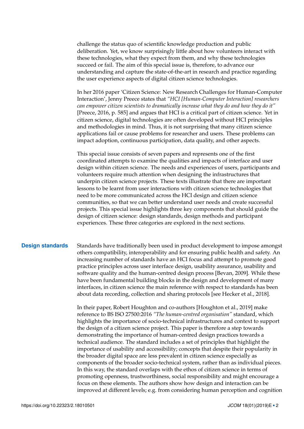challenge the status quo of scientific knowledge production and public deliberation. Yet, we know surprisingly little about how volunteers interact with these technologies, what they expect from them, and why these technologies succeed or fail. The aim of this special issue is, therefore, to advance our understanding and capture the state-of-the-art in research and practice regarding the user experience aspects of digital citizen science technologies.

In her 2016 paper 'Citizen Science: New Research Challenges for Human-Computer Interaction', Jenny Preece states that *"HCI [Human-Computer Interaction] researchers can empower citizen scientists to dramatically increase what they do and how they do it"* [Preece, [2016,](#page-6-0) p. 585] and argues that HCI is a critical part of citizen science. Yet in citizen science, digital technologies are often developed without HCI principles and methodologies in mind. Thus, it is not surprising that many citizen science applications fail or cause problems for researcher and users. These problems can impact adoption, continuous participation, data quality, and other aspects.

This special issue consists of seven papers and represents one of the first coordinated attempts to examine the qualities and impacts of interface and user design within citizen science. The needs and experiences of users, participants and volunteers require much attention when designing the infrastructures that underpin citizen science projects. These texts illustrate that there are important lessons to be learnt from user interactions with citizen science technologies that need to be more communicated across the HCI design and citizen science communities, so that we can better understand user needs and create successful projects. This special issue highlights three key components that should guide the design of citizen science: design standards, design methods and participant experiences. These three categories are explored in the next sections.

**Design standards** Standards have traditionally been used in product development to impose amongst others compatibility, interoperability and for ensuring public health and safety. An increasing number of standards have an HCI focus and attempt to promote good practice principles across user interface design, usability assurance, usability and software quality and the human-centred design process [Bevan, [2009\]](#page-6-1). While these have been fundamental building blocks in the design and development of many interfaces, in citizen science the main reference with respect to standards has been about data recording, collection and sharing protocols [see Hecker et al., [2018\]](#page-6-2).

> In their paper, Robert Houghton and co-authors [Houghton et al., [2019\]](#page-6-3) make reference to BS ISO 27500:2016 *"The human-centred organisation"* standard, which highlights the importance of socio-technical infrastructures and context to support the design of a citizen science project. This paper is therefore a step towards demonstrating the importance of human-centred design practices towards a technical audience. The standard includes a set of principles that highlight the importance of usability and accessibility; concepts that despite their popularity in the broader digital space are less prevalent in citizen science especially as components of the broader socio-technical system, rather than as individual pieces. In this way, the standard overlaps with the ethos of citizen science in terms of promoting openness, trustworthiness, social responsibility and might encourage a focus on these elements. The authors show how design and interaction can be improved at different levels; e.g. from considering human perception and cognition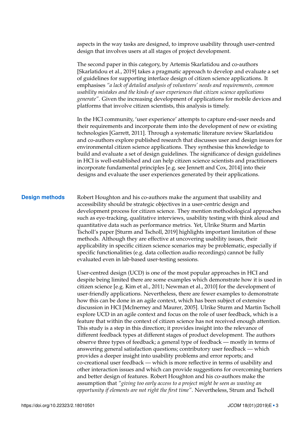aspects in the way tasks are designed, to improve usability through user-centred design that involves users at all stages of project development.

The second paper in this category, by Artemis Skarlatidou and co-authors [Skarlatidou et al., [2019\]](#page-6-4) takes a pragmatic approach to develop and evaluate a set of guidelines for supporting interface design of citizen science applications. It emphasises *"a lack of detailed analysis of volunteers' needs and requirements, common usability mistakes and the kinds of user experiences that citizen science applications generate"*. Given the increasing development of applications for mobile devices and platforms that involve citizen scientists, this analysis is timely.

In the HCI community, 'user experience' attempts to capture end-user needs and their requirements and incorporate them into the development of new or existing technologies [Garrett, [2011\]](#page-6-5). Through a systematic literature review Skarlatidou and co-authors explore published research that discusses user and design issues for environmental citizen science applications. They synthesise this knowledge to build and evaluate a set of design guidelines. The significance of design guidelines in HCI is well-established and can help citizen science scientists and practitioners incorporate fundamental principles [e.g. see Jennett and Cox, [2014\]](#page-6-6) into their designs and evaluate the user experiences generated by their applications.

**Design methods** Robert Houghton and his co-authors make the argument that usability and accessibility should be strategic objectives in a user-centric design and development process for citizen science. They mention methodological approaches such as eye-tracking, qualitative interviews, usability testing with think aloud and quantitative data such as performance metrics. Yet, Ulrike Sturm and Martin Tscholl's paper [Sturm and Tscholl, [2019\]](#page-7-0) highlights important limitation of these methods. Although they are effective at uncovering usability issues, their applicability in specific citizen science scenarios may be problematic, especially if specific functionalities (e.g. data collection audio recordings) cannot be fully evaluated even in lab-based user-testing sessions.

> User-centred design (UCD) is one of the most popular approaches in HCI and despite being limited there are some examples which demonstrate how it is used in citizen science [e.g. Kim et al., [2011;](#page-6-7) Newman et al., [2010\]](#page-6-8) for the development of user-friendly applications. Nevertheless, there are fewer examples to demonstrate how this can be done in an agile context, which has been subject of extensive discussion in HCI [McInerney and Maurer, [2005\]](#page-6-9). Ulrike Sturm and Martin Tscholl explore UCD in an agile context and focus on the role of user feedback, which is a feature that within the context of citizen science has not received enough attention. This study is a step in this direction; it provides insight into the relevance of different feedback types at different stages of product development. The authors observe three types of feedback; a general type of feedback — mostly in terms of answering general satisfaction questions; contributory user feedback — which provides a deeper insight into usability problems and error reports; and co-creational user feedback — which is more reflective in terms of usability and other interaction issues and which can provide suggestions for overcoming barriers and better design of features. Robert Houghton and his co-authors make the assumption that *"giving too early access to a project might be seen as wasting an opportunity if elements are not right the first time"*. Nevertheless, Strum and Tscholl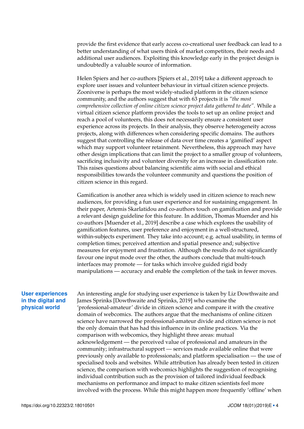provide the first evidence that early access co-creational user feedback can lead to a better understanding of what users think of market competitors, their needs and additional user audiences. Exploiting this knowledge early in the project design is undoubtedly a valuable source of information.

Helen Spiers and her co-authors [Spiers et al., [2019\]](#page-7-1) take a different approach to explore user issues and volunteer behaviour in virtual citizen science projects. Zooniverse is perhaps the most widely-studied platform in the citizen science community, and the authors suggest that with 63 projects it is *"the most comprehensive collection of online citizen science project data gathered to date"*. While a virtual citizen science platform provides the tools to set up an online project and reach a pool of volunteers, this does not necessarily ensure a consistent user experience across its projects. In their analysis, they observe heterogeneity across projects, along with differences when considering specific domains. The authors suggest that controlling the release of data over time creates a 'gamified' aspect which may support volunteer retainment. Nevertheless, this approach may have other design implications that can limit the project to a smaller group of volunteers, sacrificing inclusivity and volunteer diversity for an increase in classification rate. This raises questions about balancing scientific aims with social and ethical responsibilities towards the volunteer community and questions the position of citizen science in this regard.

Gamification is another area which is widely used in citizen science to reach new audiences, for providing a fun user experience and for sustaining engagement. In their paper, Artemis Skarlatidou and co-authors touch on gamification and provide a relevant design guideline for this feature. In addition, Thomas Muender and his co-authors [Muender et al., [2019\]](#page-6-10) describe a case which explores the usability of gamification features, user preference and enjoyment in a well-structured, within-subjects experiment. They take into account; e.g. actual usability, in terms of completion times; perceived attention and spatial presence and; subjective measures for enjoyment and frustration. Although the results do not significantly favour one input mode over the other, the authors conclude that multi-touch interfaces may promote — for tasks which involve guided rigid body manipulations — accuracy and enable the completion of the task in fewer moves.

### **User experiences in the digital and physical world**

An interesting angle for studying user experience is taken by Liz Dowthwaite and James Sprinks [Dowthwaite and Sprinks, [2019\]](#page-6-11) who examine the 'professional-amateur' divide in citizen science and compare it with the creative domain of webcomics. The authors argue that the mechanisms of online citizen science have narrowed the professional-amateur divide and citizen science is not the only domain that has had this influence in its online practices. Via the comparison with webcomics, they highlight three areas: mutual acknowledgement — the perceived value of professional and amateurs in the community; infrastructural support — services made available online that were previously only available to professionals; and platform specialisation — the use of specialised tools and websites. While attribution has already been tested in citizen science, the comparison with webcomics highlights the suggestion of recognising individual contribution such as the provision of tailored individual feedback mechanisms on performance and impact to make citizen scientists feel more involved with the process. While this might happen more frequently 'offline' when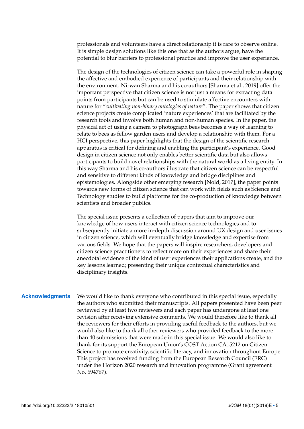professionals and volunteers have a direct relationship it is rare to observe online. It is simple design solutions like this one that as the authors argue, have the potential to blur barriers to professional practice and improve the user experience.

The design of the technologies of citizen science can take a powerful role in shaping the affective and embodied experience of participants and their relationship with the environment. Nirwan Sharma and his co-authors [Sharma et al., [2019\]](#page-6-12) offer the important perspective that citizen science is not just a means for extracting data points from participants but can be used to stimulate affective encounters with nature for "*cultivating non-binary ontologies of nature*". The paper shows that citizen science projects create complicated 'nature experiences' that are facilitated by the research tools and involve both human and non-human species. In the paper, the physical act of using a camera to photograph bees becomes a way of learning to relate to bees as fellow garden users and develop a relationship with them. For a HCI perspective, this paper highlights that the design of the scientific research apparatus is critical for defining and enabling the participant's experience. Good design in citizen science not only enables better scientific data but also allows participants to build novel relationships with the natural world as a living entity. In this way Sharma and his co-authors illustrate that citizen science can be respectful and sensitive to different kinds of knowledge and bridge disciplines and epistemologies. Alongside other emerging research [Nold, [2017\]](#page-6-13), the paper points towards new forms of citizen science that can work with fields such as Science and Technology studies to build platforms for the co-production of knowledge between scientists and broader publics.

The special issue presents a collection of papers that aim to improve our knowledge of how users interact with citizen science technologies and to subsequently initiate a more in-depth discussion around UX design and user issues in citizen science, which will eventually bridge knowledge and expertise from various fields. We hope that the papers will inspire researchers, developers and citizen science practitioners to reflect more on their experiences and share their anecdotal evidence of the kind of user experiences their applications create, and the key lessons learned; presenting their unique contextual characteristics and disciplinary insights.

**Acknowledgments** We would like to thank everyone who contributed in this special issue, especially the authors who submitted their manuscripts. All papers presented have been peer reviewed by at least two reviewers and each paper has undergone at least one revision after receiving extensive comments. We would therefore like to thank all the reviewers for their efforts in providing useful feedback to the authors, but we would also like to thank all other reviewers who provided feedback to the more than 40 submissions that were made in this special issue. We would also like to thank for its support the European Union's COST Action CA15212 on Citizen Science to promote creativity, scientific literacy, and innovation throughout Europe. This project has received funding from the European Research Council (ERC) under the Horizon 2020 research and innovation programme (Grant agreement No. 694767).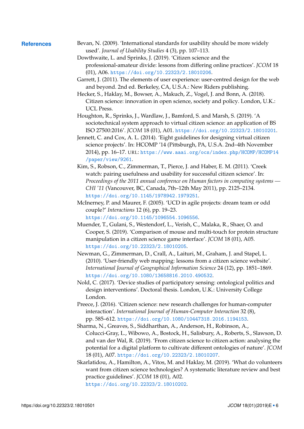- <span id="page-6-13"></span><span id="page-6-12"></span><span id="page-6-11"></span><span id="page-6-10"></span><span id="page-6-9"></span><span id="page-6-8"></span><span id="page-6-7"></span><span id="page-6-6"></span><span id="page-6-5"></span><span id="page-6-4"></span><span id="page-6-3"></span><span id="page-6-2"></span><span id="page-6-1"></span><span id="page-6-0"></span>**References** Bevan, N. (2009). 'International standards for usability should be more widely used'. *Journal of Usability Studies* 4 (3), pp. 107–113.
	- Dowthwaite, L. and Sprinks, J. (2019). 'Citizen science and the professional-amateur divide: lessons from differing online practices'. *JCOM* 18 (01), A06. <https://doi.org/10.22323/2.18010206>.
	- Garrett, J. (2011). The elements of user experience: user-centred design for the web and beyond. 2nd ed. Berkeley, CA, U.S.A.: New Riders publishing.
	- Hecker, S., Haklay, M., Bowser, A., Makuch, Z., Vogel, J. and Bonn, A. (2018). Citizen science: innovation in open science, society and policy. London, U.K.: UCL Press.
	- Houghton, R., Sprinks, J., Wardlaw, J., Bamford, S. and Marsh, S. (2019). 'A sociotechnical system approach to virtual citizen science: an application of BS ISO 27500:2016'. *JCOM* 18 (01), A01. <https://doi.org/10.22323/2.18010201>.
	- Jennett, C. and Cox, A. L. (2014). 'Eight guidelines for designing virtual citizen science projects'. In: HCOMP '14 (Pittsburgh, PA, U.S.A. 2nd–4th November 2014), pp. 16–17. URL: [https://www.aaai.org/ocs/index.php/HCOMP/HCOMP14](https://www.aaai.org/ocs/index.php/HCOMP/HCOMP14/paper/view/9261) [/paper/view/9261](https://www.aaai.org/ocs/index.php/HCOMP/HCOMP14/paper/view/9261).
	- Kim, S., Robson, C., Zimmerman, T., Pierce, J. and Haber, E. M. (2011). 'Creek watch: pairing usefulness and usability for successful citizen science'. In: *Proceedings of the 2011 annual conference on Human factors in computing systems — CHI '11* (Vancouver, BC, Canada, 7th–12th May 2011), pp. 2125–2134. <https://doi.org/10.1145/1978942.1979251>.
	- McInerney, P. and Maurer, F. (2005). 'UCD in agile projects: dream team or odd couple?' *Interactions* 12 (6), pp. 19–23. <https://doi.org/10.1145/1096554.1096556>.
	- Muender, T., Gulani, S., Westendorf, L., Verish, C., Malaka, R., Shaer, O. and Cooper, S. (2019). 'Comparison of mouse and multi-touch for protein structure manipulation in a citizen science game interface'. *JCOM* 18 (01), A05. <https://doi.org/10.22323/2.18010205>.
	- Newman, G., Zimmerman, D., Crall, A., Laituri, M., Graham, J. and Stapel, L. (2010). 'User-friendly web mapping: lessons from a citizen science website'. *International Journal of Geographical Information Science* 24 (12), pp. 1851–1869. <https://doi.org/10.1080/13658816.2010.490532>.
	- Nold, C. (2017). 'Device studies of participatory sensing: ontological politics and design interventions'. Doctoral thesis. London, U.K.: University College London.
	- Preece, J. (2016). 'Citizen science: new research challenges for human-computer interaction'. *International Journal of Human-Computer Interaction* 32 (8), pp. 585–612. <https://doi.org/10.1080/10447318.2016.1194153>.
	- Sharma, N., Greaves, S., Siddharthan, A., Anderson, H., Robinson, A., Colucci-Gray, L., Wibowo, A., Bostock, H., Salisbury, A., Roberts, S., Slawson, D. and van der Wal, R. (2019). 'From citizen science to citizen action: analysing the potential for a digital platform to cultivate different ontologies of nature'. *JCOM* 18 (01), A07. <https://doi.org/10.22323/2.18010207>.
	- Skarlatidou, A., Hamilton, A., Vitos, M. and Haklay, M. (2019). 'What do volunteers want from citizen science technologies? A systematic literature review and best practice guidelines'. *JCOM* 18 (01), A02. <https://doi.org/10.22323/2.18010202>.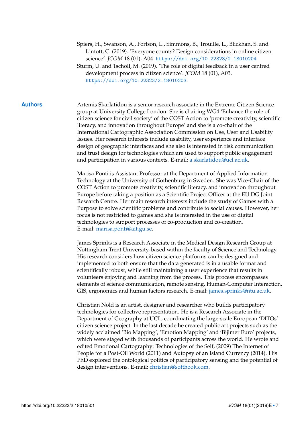- <span id="page-7-1"></span>Spiers, H., Swanson, A., Fortson, L., Simmons, B., Trouille, L., Blickhan, S. and Lintott, C. (2019). 'Everyone counts? Design considerations in online citizen science'. *JCOM* 18 (01), A04. <https://doi.org/10.22323/2.18010204>.
- <span id="page-7-0"></span>Sturm, U. and Tscholl, M. (2019). 'The role of digital feedback in a user centred development process in citizen science'. *JCOM* 18 (01), A03. <https://doi.org/10.22323/2.18010203>.

**Authors** Artemis Skarlatidou is a senior research associate in the Extreme Citizen Science group at University College London. She is chairing WG4 'Enhance the role of citizen science for civil society' of the COST Action to 'promote creativity, scientific literacy, and innovation throughout Europe' and she is a co-chair of the International Cartographic Association Commission on Use, User and Usability Issues. Her research interests include usability, user experience and interface design of geographic interfaces and she also is interested in risk communication and trust design for technologies which are used to support public engagement and participation in various contexts. E-mail: [a.skarlatidou@ucl.ac.uk.](mailto:a.skarlatidou@ucl.ac.uk)

> Marisa Ponti is Assistant Professor at the Department of Applied Information Technology at the University of Gothenburg in Sweden. She was Vice-Chair of the COST Action to promote creativity, scientific literacy, and innovation throughout Europe before taking a position as a Scientific Project Officer at the EU DG Joint Research Centre. Her main research interests include the study of Games with a Purpose to solve scientific problems and contribute to social causes. However, her focus is not restricted to games and she is interested in the use of digital technologies to support processes of co-production and co-creation. E-mail: [marisa.ponti@ait.gu.se.](mailto:marisa.ponti@ait.gu.se)

James Sprinks is a Research Associate in the Medical Design Research Group at Nottingham Trent University, based within the faculty of Science and Technology. His research considers how citizen science platforms can be designed and implemented to both ensure that the data generated is in a usable format and scientifically robust, while still maintaining a user experience that results in volunteers enjoying and learning from the process. This process encompasses elements of science communication, remote sensing, Human-Computer Interaction, GIS, ergonomics and human factors research. E-mail: [james.sprinks@ntu.ac.uk.](mailto:james.sprinks@ntu.ac.uk)

Christian Nold is an artist, designer and researcher who builds participatory technologies for collective representation. He is a Research Associate in the Department of Geography at UCL, coordinating the large-scale European 'DITOs' citizen science project. In the last decade he created public art projects such as the widely acclaimed 'Bio Mapping', 'Emotion Mapping' and 'Bijlmer Euro' projects, which were staged with thousands of participants across the world. He wrote and edited Emotional Cartography: Technologies of the Self, (2009) The Internet of People for a Post-Oil World (2011) and Autopsy of an Island Currency (2014). His PhD explored the ontological politics of participatory sensing and the potential of design interventions. E-mail: [christian@softhook.com.](mailto:christian@softhook.com)